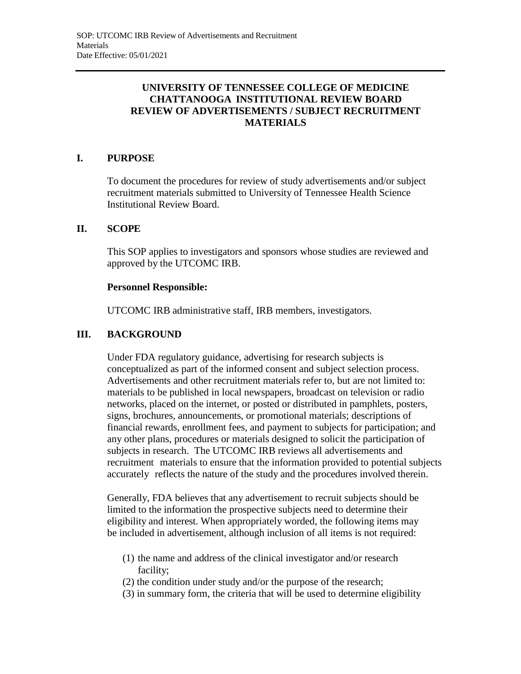# **UNIVERSITY OF TENNESSEE COLLEGE OF MEDICINE CHATTANOOGA INSTITUTIONAL REVIEW BOARD REVIEW OF ADVERTISEMENTS / SUBJECT RECRUITMENT MATERIALS**

## **I. PURPOSE**

To document the procedures for review of study advertisements and/or subject recruitment materials submitted to University of Tennessee Health Science Institutional Review Board.

### **II. SCOPE**

This SOP applies to investigators and sponsors whose studies are reviewed and approved by the UTCOMC IRB.

#### **Personnel Responsible:**

UTCOMC IRB administrative staff, IRB members, investigators.

### **III. BACKGROUND**

Under FDA regulatory guidance, advertising for research subjects is conceptualized as part of the informed consent and subject selection process. Advertisements and other recruitment materials refer to, but are not limited to: materials to be published in local newspapers, broadcast on television or radio networks, placed on the internet, or posted or distributed in pamphlets, posters, signs, brochures, announcements, or promotional materials; descriptions of financial rewards, enrollment fees, and payment to subjects for participation; and any other plans, procedures or materials designed to solicit the participation of subjects in research. The UTCOMC IRB reviews all advertisements and recruitment materials to ensure that the information provided to potential subjects accurately reflects the nature of the study and the procedures involved therein.

Generally, FDA believes that any advertisement to recruit subjects should be limited to the information the prospective subjects need to determine their eligibility and interest. When appropriately worded, the following items may be included in advertisement, although inclusion of all items is not required:

- (1) the name and address of the clinical investigator and/or research facility;
- (2) the condition under study and/or the purpose of the research;
- (3) in summary form, the criteria that will be used to determine eligibility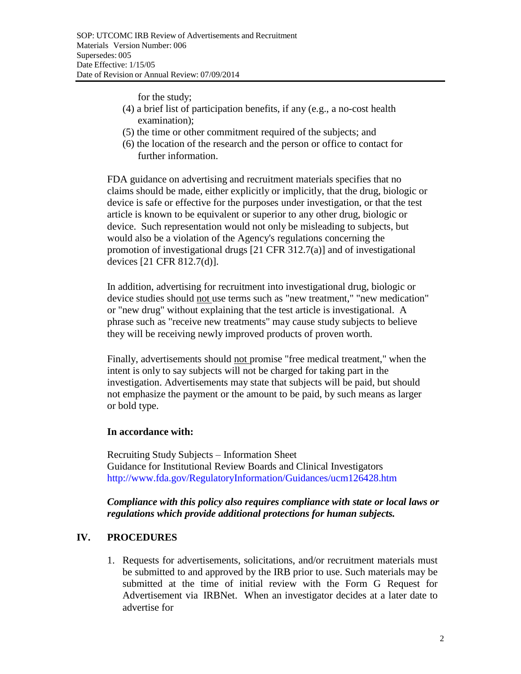for the study;

- (4) a brief list of participation benefits, if any (e.g., a no-cost health examination);
- (5) the time or other commitment required of the subjects; and
- (6) the location of the research and the person or office to contact for further information.

FDA guidance on advertising and recruitment materials specifies that no claims should be made, either explicitly or implicitly, that the drug, biologic or device is safe or effective for the purposes under investigation, or that the test article is known to be equivalent or superior to any other drug, biologic or device. Such representation would not only be misleading to subjects, but would also be a violation of the Agency's regulations concerning the promotion of investigational drugs [21 CFR 312.7(a)] and of investigational devices [21 CFR 812.7(d)].

In addition, advertising for recruitment into investigational drug, biologic or device studies should not use terms such as "new treatment," "new medication" or "new drug" without explaining that the test article is investigational. A phrase such as "receive new treatments" may cause study subjects to believe they will be receiving newly improved products of proven worth.

Finally, advertisements should not promise "free medical treatment," when the intent is only to say subjects will not be charged for taking part in the investigation. Advertisements may state that subjects will be paid, but should not emphasize the payment or the amount to be paid, by such means as larger or bold type.

### **In accordance with:**

Recruiting Study Subjects – Information Sheet Guidance for Institutional Review Boards and Clinical Investigators <http://www.fda.gov/RegulatoryInformation/Guidances/ucm126428.htm>

### *Compliance with this policy also requires compliance with state or local laws or regulations which provide additional protections for human subjects.*

## **IV. PROCEDURES**

1. Requests for advertisements, solicitations, and/or recruitment materials must be submitted to and approved by the IRB prior to use. Such materials may be submitted at the time of initial review with the Form G Request for Advertisement via IRBNet. When an investigator decides at a later date to advertise for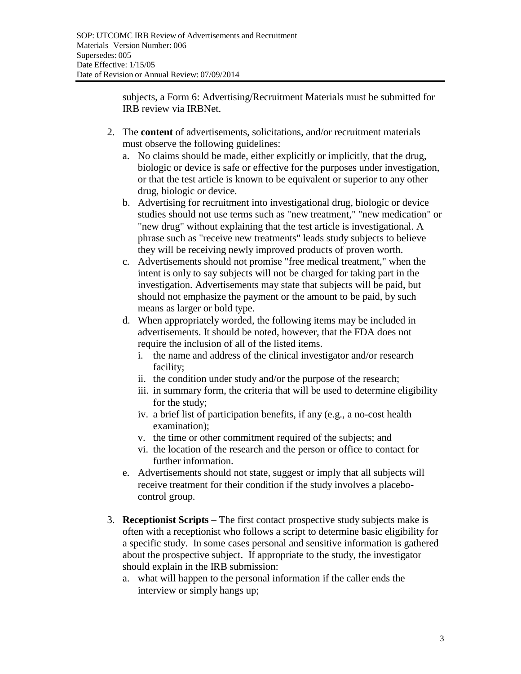subjects, a Form 6: Advertising/Recruitment Materials must be submitted for IRB review via IRBNet.

- 2. The **content** of advertisements, solicitations, and/or recruitment materials must observe the following guidelines:
	- a. No claims should be made, either explicitly or implicitly, that the drug, biologic or device is safe or effective for the purposes under investigation, or that the test article is known to be equivalent or superior to any other drug, biologic or device.
	- b. Advertising for recruitment into investigational drug, biologic or device studies should not use terms such as "new treatment," "new medication" or "new drug" without explaining that the test article is investigational. A phrase such as "receive new treatments" leads study subjects to believe they will be receiving newly improved products of proven worth.
	- c. Advertisements should not promise "free medical treatment," when the intent is only to say subjects will not be charged for taking part in the investigation. Advertisements may state that subjects will be paid, but should not emphasize the payment or the amount to be paid, by such means as larger or bold type.
	- d. When appropriately worded, the following items may be included in advertisements. It should be noted, however, that the FDA does not require the inclusion of all of the listed items.
		- i. the name and address of the clinical investigator and/or research facility;
		- ii. the condition under study and/or the purpose of the research;
		- iii. in summary form, the criteria that will be used to determine eligibility for the study;
		- iv. a brief list of participation benefits, if any (e.g., a no-cost health examination);
		- v. the time or other commitment required of the subjects; and
		- vi. the location of the research and the person or office to contact for further information.
	- e. Advertisements should not state, suggest or imply that all subjects will receive treatment for their condition if the study involves a placebocontrol group.
- 3. **Receptionist Scripts** The first contact prospective study subjects make is often with a receptionist who follows a script to determine basic eligibility for a specific study. In some cases personal and sensitive information is gathered about the prospective subject. If appropriate to the study, the investigator should explain in the IRB submission:
	- a. what will happen to the personal information if the caller ends the interview or simply hangs up;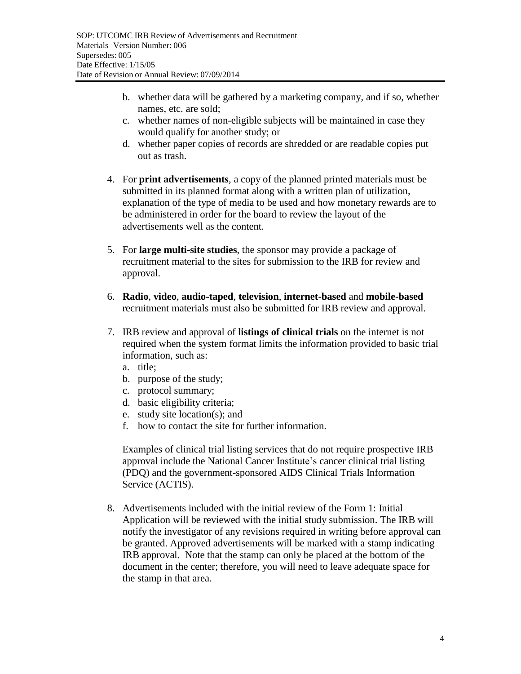- b. whether data will be gathered by a marketing company, and if so, whether names, etc. are sold;
- c. whether names of non-eligible subjects will be maintained in case they would qualify for another study; or
- d. whether paper copies of records are shredded or are readable copies put out as trash.
- 4. For **print advertisements**, a copy of the planned printed materials must be submitted in its planned format along with a written plan of utilization, explanation of the type of media to be used and how monetary rewards are to be administered in order for the board to review the layout of the advertisements well as the content.
- 5. For **large multi-site studies**, the sponsor may provide a package of recruitment material to the sites for submission to the IRB for review and approval.
- 6. **Radio**, **video**, **audio-taped**, **television**, **internet-based** and **mobile-based** recruitment materials must also be submitted for IRB review and approval.
- 7. IRB review and approval of **listings of clinical trials** on the internet is not required when the system format limits the information provided to basic trial information, such as:
	- a. title;
	- b. purpose of the study;
	- c. protocol summary;
	- d. basic eligibility criteria;
	- e. study site location(s); and
	- f. how to contact the site for further information.

Examples of clinical trial listing services that do not require prospective IRB approval include the National Cancer Institute's cancer clinical trial listing (PDQ) and the government-sponsored AIDS Clinical Trials Information Service (ACTIS).

8. Advertisements included with the initial review of the Form 1: Initial Application will be reviewed with the initial study submission. The IRB will notify the investigator of any revisions required in writing before approval can be granted. Approved advertisements will be marked with a stamp indicating IRB approval. Note that the stamp can only be placed at the bottom of the document in the center; therefore, you will need to leave adequate space for the stamp in that area.